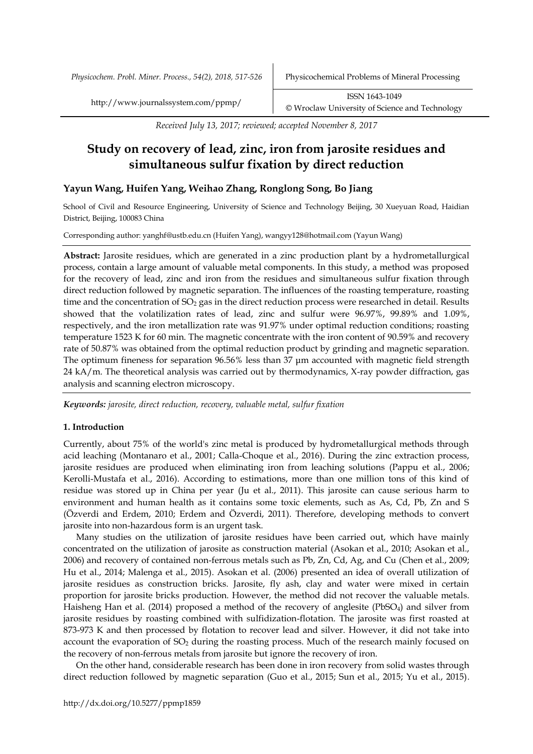*Received July 13, 2017; reviewed; accepted November 8, 2017*

# **Study on recovery of lead, zinc, iron from jarosite residues and simultaneous sulfur fixation by direct reduction**

## **Yayun Wang, Huifen Yang, Weihao Zhang, Ronglong Song, Bo Jiang**

School of Civil and Resource Engineering, University of Science and Technology Beijing, 30 Xueyuan Road, Haidian District, Beijing, 100083 China

Corresponding author: yanghf@ustb.edu.cn (Huifen Yang), wangyy128@hotmail.com (Yayun Wang)

**Abstract:** Jarosite residues, which are generated in a zinc production plant by a hydrometallurgical process, contain a large amount of valuable metal components. In this study, a method was proposed for the recovery of lead, zinc and iron from the residues and simultaneous sulfur fixation through direct reduction followed by magnetic separation. The influences of the roasting temperature, roasting time and the concentration of SO<sub>2</sub> gas in the direct reduction process were researched in detail. Results showed that the volatilization rates of lead, zinc and sulfur were 96.97%, 99.89% and 1.09%, respectively, and the iron metallization rate was 91.97% under optimal reduction conditions; roasting temperature 1523 K for 60 min. The magnetic concentrate with the iron content of 90.59% and recovery rate of 50.87% was obtained from the optimal reduction product by grinding and magnetic separation. The optimum fineness for separation 96.56% less than 37 μm accounted with magnetic field strength 24 kA/m. The theoretical analysis was carried out by thermodynamics, X-ray powder diffraction, gas analysis and scanning electron microscopy.

*Keywords: jarosite, direct reduction, recovery, valuable metal, sulfur fixation*

## **1. Introduction**

Currently, about 75% of the world's zinc metal is produced by hydrometallurgical methods through acid leaching (Montanaro et al., 2001; Calla-Choque et al., 2016). During the zinc extraction process, jarosite residues are produced when eliminating iron from leaching solutions (Pappu et al., 2006; Kerolli-Mustafa et al., 2016). According to estimations, more than one million tons of this kind of residue was stored up in China per year (Ju et al., 2011). This jarosite can cause serious harm to environment and human health as it contains some toxic elements, such as As, Cd, Pb, Zn and S (Özverdi and Erdem, 2010; Erdem and Özverdi, 2011). Therefore, developing methods to convert jarosite into non-hazardous form is an urgent task.

Many studies on the utilization of jarosite residues have been carried out, which have mainly concentrated on the utilization of jarosite as construction material (Asokan et al., 2010; Asokan et al., 2006) and recovery of contained non-ferrous metals such as Pb, Zn, Cd, Ag, and Cu (Chen et al., 2009; Hu et al., 2014; Malenga et al., 2015). Asokan et al. (2006) presented an idea of overall utilization of jarosite residues as construction bricks. Jarosite, fly ash, clay and water were mixed in certain proportion for jarosite bricks production. However, the method did not recover the valuable metals. Haisheng Han et al. (2014) proposed a method of the recovery of anglesite (PbSO<sub>4</sub>) and silver from jarosite residues by roasting combined with sulfidization-flotation. The jarosite was first roasted at 873-973 K and then processed by flotation to recover lead and silver. However, it did not take into account the evaporation of  $SO<sub>2</sub>$  during the roasting process. Much of the research mainly focused on the recovery of non-ferrous metals from jarosite but ignore the recovery of iron.

On the other hand, considerable research has been done in iron recovery from solid wastes through direct reduction followed by magnetic separation (Guo et al., 2015; Sun et al., 2015; Yu et al., 2015).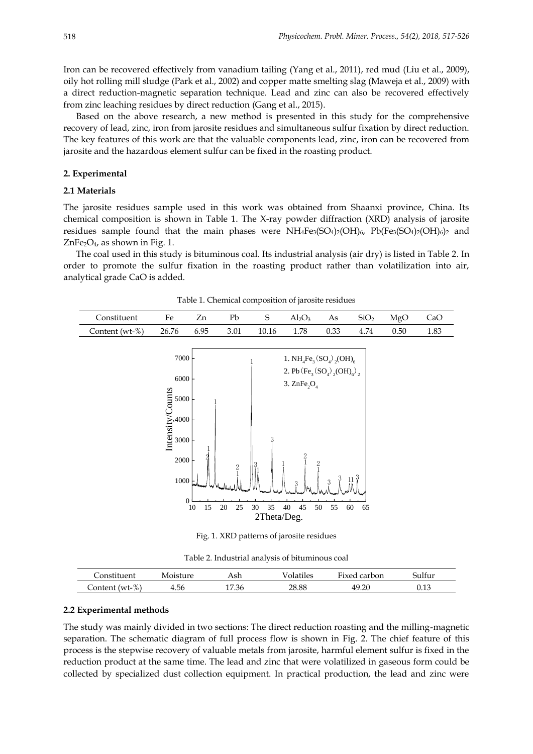Iron can be recovered effectively from vanadium tailing (Yang et al., 2011), red mud (Liu et al., 2009), oily hot rolling mill sludge (Park et al., 2002) and copper matte smelting slag (Maweja et al., 2009) with a direct reduction-magnetic separation technique. Lead and zinc can also be recovered effectively from zinc leaching residues by direct reduction (Gang et al., 2015).

Based on the above research, a new method is presented in this study for the comprehensive recovery of lead, zinc, iron from jarosite residues and simultaneous sulfur fixation by direct reduction. The key features of this work are that the valuable components lead, zinc, iron can be recovered from jarosite and the hazardous element sulfur can be fixed in the roasting product.

#### **2. Experimental**

### **2.1 Materials**

The jarosite residues sample used in this work was obtained from Shaanxi province, China. Its chemical composition is shown in Table 1. The X-ray powder diffraction (XRD) analysis of jarosite residues sample found that the main phases were  $NH_4Fe_3(SO_4)_2(OH)_6$ ,  $Pb(Fe_3(SO_4)_2(OH)_6)_2$  and  $ZnFe<sub>2</sub>O<sub>4</sub>$ , as shown in Fig. 1.

The coal used in this study is bituminous coal. Its industrial analysis (air dry) is listed in Table 2. In order to promote the sulfur fixation in the roasting product rather than volatilization into air, analytical grade CaO is added.



Table 1. Chemical composition of jarosite residues

Fig. 1. XRD patterns of jarosite residues

Table 2. Industrial analysis of bituminous coal

| _onstituent          | Vloisture | Ash   | √olatiles | $Tized$ .<br>carbon | bultur |
|----------------------|-----------|-------|-----------|---------------------|--------|
| $(wt-\%)$<br>_onten† | 4.56      | 17.36 | 28.88     | 49.20               | 0.13   |

#### **2.2 Experimental methods**

The study was mainly divided in two sections: The direct reduction roasting and the milling-magnetic separation. The schematic diagram of full process flow is shown in Fig. 2. The chief feature of this process is the stepwise recovery of valuable metals from jarosite, harmful element sulfur is fixed in the reduction product at the same time. The lead and zinc that were volatilized in gaseous form could be collected by specialized dust collection equipment. In practical production, the lead and zinc were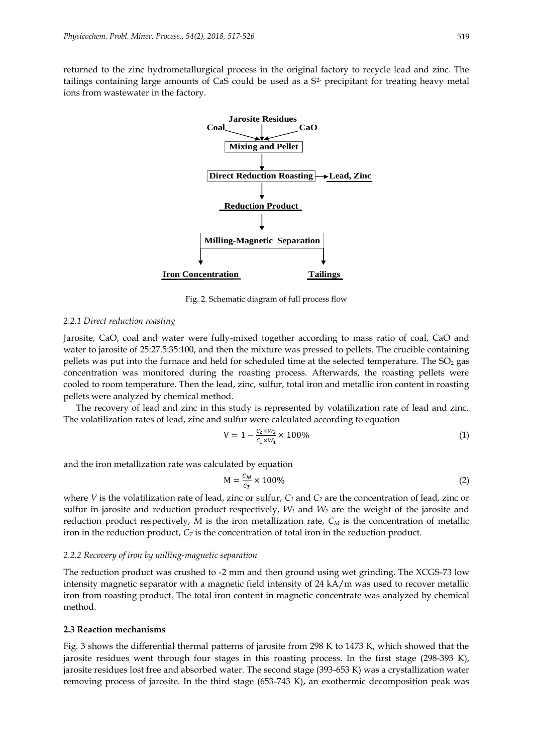returned to the zinc hydrometallurgical process in the original factory to recycle lead and zinc. The tailings containing large amounts of CaS could be used as a S<sup>2-</sup> precipitant for treating heavy metal ions from wastewater in the factory.



Fig. 2. Schematic diagram of full process flow

#### *2.2.1 Direct reduction roasting*

Jarosite, CaO, coal and water were fully-mixed together according to mass ratio of coal, CaO and water to jarosite of 25:27.5:35:100, and then the mixture was pressed to pellets. The crucible containing pellets was put into the furnace and held for scheduled time at the selected temperature. The SO<sub>2</sub> gas concentration was monitored during the roasting process. Afterwards, the roasting pellets were cooled to room temperature. Then the lead, zinc, sulfur, total iron and metallic iron content in roasting pellets were analyzed by chemical method.

The recovery of lead and zinc in this study is represented by volatilization rate of lead and zinc. The volatilization rates of lead, zinc and sulfur were calculated according to equation

$$
V = 1 - \frac{c_2 \times w_2}{c_1 \times w_1} \times 100\%
$$
 (1)

and the iron metallization rate was calculated by equation

$$
M = \frac{c_M}{c_T} \times 100\%
$$
 (2)

where *V* is the volatilization rate of lead, zinc or sulfur, *C<sup>1</sup>* and *C<sup>2</sup>* are the concentration of lead, zinc or sulfur in jarosite and reduction product respectively, *W<sup>1</sup>* and *W<sup>2</sup>* are the weight of the jarosite and reduction product respectively, *M* is the iron metallization rate, *C<sup>M</sup>* is the concentration of metallic iron in the reduction product, *C<sup>T</sup>* is the concentration of total iron in the reduction product.

#### *2.2.2 Recovery of iron by milling-magnetic separation*

The reduction product was crushed to -2 mm and then ground using wet grinding. The XCGS-73 low intensity magnetic separator with a magnetic field intensity of 24 kA/m was used to recover metallic iron from roasting product. The total iron content in magnetic concentrate was analyzed by chemical method.

#### **2.3 Reaction mechanisms**

Fig. 3 shows the differential thermal patterns of jarosite from 298 K to 1473 K, which showed that the jarosite residues went through four stages in this roasting process. In the first stage (298-393 K), jarosite residues lost free and absorbed water. The second stage (393-653 K) was a crystallization water removing process of jarosite. In the third stage (653-743 K), an exothermic decomposition peak was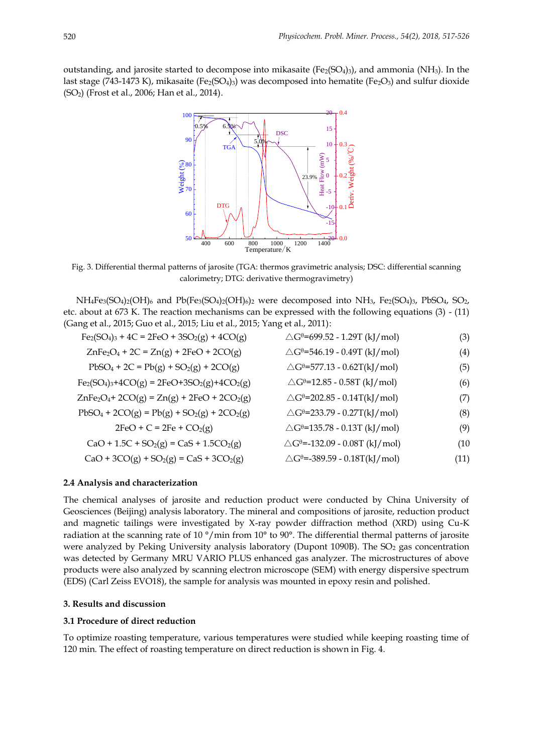outstanding, and jarosite started to decompose into mikasaite  $(Fe<sub>2</sub>(SO<sub>4</sub>)<sub>3</sub>)$ , and ammonia (NH<sub>3</sub>). In the last stage (743-1473 K), mikasaite (Fe<sub>2</sub>(SO<sub>4</sub>)<sub>3</sub>) was decomposed into hematite (Fe<sub>2</sub>O<sub>3</sub>) and sulfur dioxide (SO2) (Frost et al., 2006; Han et al., 2014).



Fig. 3. Differential thermal patterns of jarosite (TGA: thermos gravimetric analysis; DSC: differential scanning calorimetry; DTG: derivative thermogravimetry)

 $NH_4Fe_3(SO_4)_2(OH)_6$  and  $Pb(Fe_3(SO_4)_2(OH)_6)_2$  were decomposed into  $NH_3$ ,  $Fe_2(SO_4)_3$ ,  $PbSO_4$ ,  $SO_2$ , etc. about at 673 K. The reaction mechanisms can be expressed with the following equations (3) - (11) (Gang et al., 2015; Guo et al., 2015; Liu et al., 2015; Yang et al., 2011):

$$
Fe2(SO4)3 + 4C = 2FeO + 3SO2(g) + 4CO(g)
$$
  
 
$$
\triangle G0=699.52 - 1.29T (kJ/mol)
$$
  
 
$$
\triangle G0=546.19 - 0.49T (kJ/mol)
$$
 (3)  
 
$$
\triangle G0=546.19 - 0.49T (kJ/mol)
$$
 (4)

$$
PbSO_4 + 2C = Pb(g) + SO_2(g) + 2CO(g) \qquad \qquad \triangle G^{\theta} = 577.13 - 0.62T(kJ/mol) \tag{5}
$$

$$
Fe_2(SO_4)_3 + 4CO(g) = 2FeO + 3SO_2(g) + 4CO_2(g)
$$
  
\n
$$
\triangle G^{\theta} = 12.85 - 0.58T (kJ/mol)
$$
\n(6)

$$
ZnFe2O4+ 2CO(g) = Zn(g) + 2FeO + 2CO2(g) \qquad \triangle G0=202.85 - 0.14T(kJ/mol)
$$
 (7)

$$
PbSO_4 + 2CO(g) = Pb(g) + SO_2(g) + 2CO_2(g) \qquad \triangle G^{\theta} = 233.79 - 0.27T(kJ/mol)
$$
 (8)

$$
2FeO + C = 2Fe + CO2(g)
$$
  
\n
$$
CaO + 1.5C + SO2(g) = CaS + 1.5CO2(g)
$$
  
\n
$$
2FeO + C = 2Fe + CO2(g)
$$
  
\n
$$
2Ge = -135.78 - 0.13T (kJ/mol)
$$
  
\n
$$
2Ge = -132.09 - 0.08T (kJ/mol)
$$
 (9)

$$
C_2O + 3CO(\alpha) + SO(\alpha) = Cs + 3CO_2(\alpha)
$$

$$
CaO + 3CO(g) + SO2(g) = CaS + 3CO2(g)
$$
  
 
$$
\triangle G0=-389.59 - 0.18T(kJ/mol)
$$
 (11)

### **2.4 Analysis and characterization**

The chemical analyses of jarosite and reduction product were conducted by China University of Geosciences (Beijing) analysis laboratory. The mineral and compositions of jarosite, reduction product and magnetic tailings were investigated by X-ray powder diffraction method (XRD) using Cu-K radiation at the scanning rate of 10 °/min from 10° to 90°. The differential thermal patterns of jarosite were analyzed by Peking University analysis laboratory (Dupont 1090B). The  $SO<sub>2</sub>$  gas concentration was detected by Germany MRU VARIO PLUS enhanced gas analyzer. The microstructures of above products were also analyzed by scanning electron microscope (SEM) with energy dispersive spectrum (EDS) (Carl Zeiss EVO18), the sample for analysis was mounted in epoxy resin and polished.

## **3. Results and discussion**

## **3.1 Procedure of direct reduction**

To optimize roasting temperature, various temperatures were studied while keeping roasting time of 120 min. The effect of roasting temperature on direct reduction is shown in Fig. 4.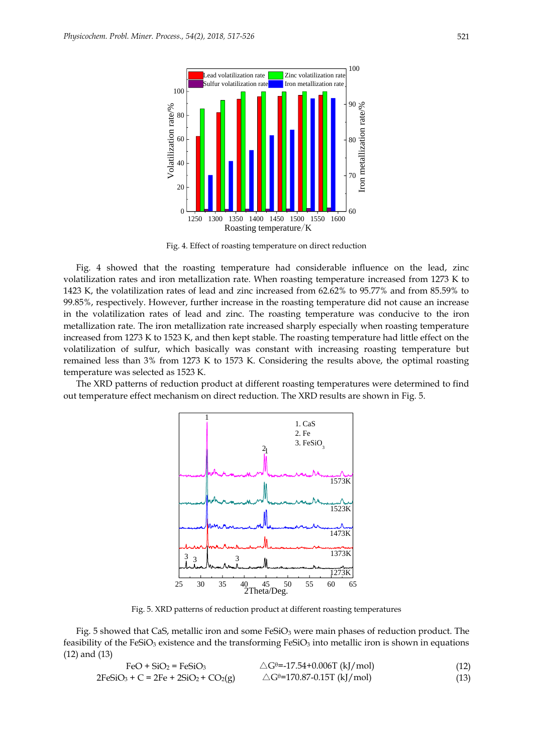

Fig. 4. Effect of roasting temperature on direct reduction

Fig. 4 showed that the roasting temperature had considerable influence on the lead, zinc volatilization rates and iron metallization rate. When roasting temperature increased from 1273 K to 1423 K, the volatilization rates of lead and zinc increased from 62.62% to 95.77% and from 85.59% to 99.85%, respectively. However, further increase in the roasting temperature did not cause an increase in the volatilization rates of lead and zinc. The roasting temperature was conducive to the iron metallization rate. The iron metallization rate increased sharply especially when roasting temperature increased from 1273 K to 1523 K, and then kept stable. The roasting temperature had little effect on the volatilization of sulfur, which basically was constant with increasing roasting temperature but remained less than 3% from 1273 K to 1573 K. Considering the results above, the optimal roasting temperature was selected as 1523 K.

The XRD patterns of reduction product at different roasting temperatures were determined to find out temperature effect mechanism on direct reduction. The XRD results are shown in Fig. 5.



Fig. 5. XRD patterns of reduction product at different roasting temperatures

Fig. 5 showed that CaS, metallic iron and some FeSiO<sub>3</sub> were main phases of reduction product. The feasibility of the FeSiO<sub>3</sub> existence and the transforming FeSiO<sub>3</sub> into metallic iron is shown in equations (12) and (13)

| $FeO + SiO2 = FeSiO3$                   | $\triangle G^{\theta}$ =-17.54+0.006T (kJ/mol) | (12) |
|-----------------------------------------|------------------------------------------------|------|
| $2FeSiO_3 + C = 2Fe + 2SiO_2 + CO_2(g)$ | $\triangle G^{\theta=170.87-0.15T}$ (kJ/mol)   | (13) |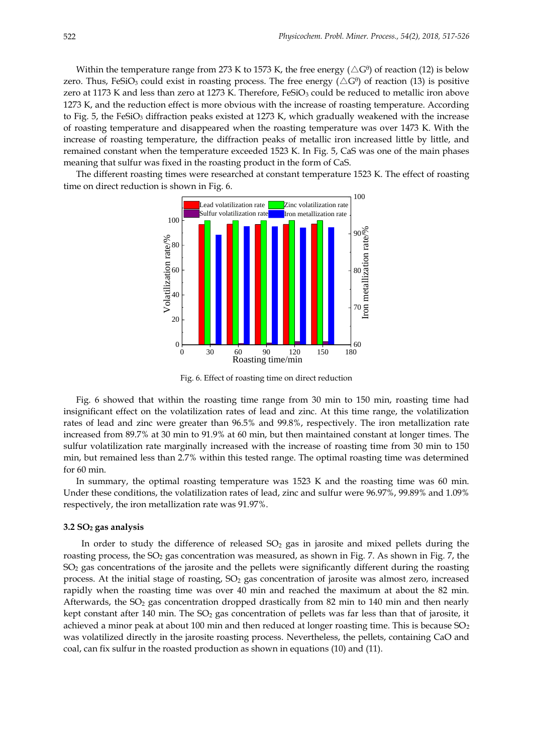Within the temperature range from 273 K to 1573 K, the free energy ( $\triangle G^{\theta}$ ) of reaction (12) is below zero. Thus, FeSiO $_3$  could exist in roasting process. The free energy ( $\triangle G^0$ ) of reaction (13) is positive zero at 1173 K and less than zero at 1273 K. Therefore, FeSiO<sub>3</sub> could be reduced to metallic iron above 1273 K, and the reduction effect is more obvious with the increase of roasting temperature. According to Fig. 5, the FeSiO<sub>3</sub> diffraction peaks existed at 1273 K, which gradually weakened with the increase of roasting temperature and disappeared when the roasting temperature was over 1473 K. With the increase of roasting temperature, the diffraction peaks of metallic iron increased little by little, and remained constant when the temperature exceeded 1523 K. In Fig. 5, CaS was one of the main phases meaning that sulfur was fixed in the roasting product in the form of CaS.

The different roasting times were researched at constant temperature 1523 K. The effect of roasting time on direct reduction is shown in Fig. 6.



Fig. 6. Effect of roasting time on direct reduction

Fig. 6 showed that within the roasting time range from 30 min to 150 min, roasting time had insignificant effect on the volatilization rates of lead and zinc. At this time range, the volatilization rates of lead and zinc were greater than 96.5% and 99.8%, respectively. The iron metallization rate increased from 89.7% at 30 min to 91.9% at 60 min, but then maintained constant at longer times. The sulfur volatilization rate marginally increased with the increase of roasting time from 30 min to 150 min, but remained less than 2.7% within this tested range. The optimal roasting time was determined for 60 min.

In summary, the optimal roasting temperature was 1523 K and the roasting time was 60 min. Under these conditions, the volatilization rates of lead, zinc and sulfur were 96.97%, 99.89% and 1.09% respectively, the iron metallization rate was 91.97%.

#### **3.2 SO<sup>2</sup> gas analysis**

In order to study the difference of released  $SO<sub>2</sub>$  gas in jarosite and mixed pellets during the roasting process, the  $SO_2$  gas concentration was measured, as shown in Fig. 7. As shown in Fig. 7, the  $SO<sub>2</sub>$  gas concentrations of the jarosite and the pellets were significantly different during the roasting process. At the initial stage of roasting,  $SO<sub>2</sub>$  gas concentration of jarosite was almost zero, increased rapidly when the roasting time was over 40 min and reached the maximum at about the 82 min. Afterwards, the  $SO_2$  gas concentration dropped drastically from 82 min to 140 min and then nearly kept constant after 140 min. The  $SO<sub>2</sub>$  gas concentration of pellets was far less than that of jarosite, it achieved a minor peak at about 100 min and then reduced at longer roasting time. This is because  $SO_2$ was volatilized directly in the jarosite roasting process. Nevertheless, the pellets, containing CaO and coal, can fix sulfur in the roasted production as shown in equations (10) and (11).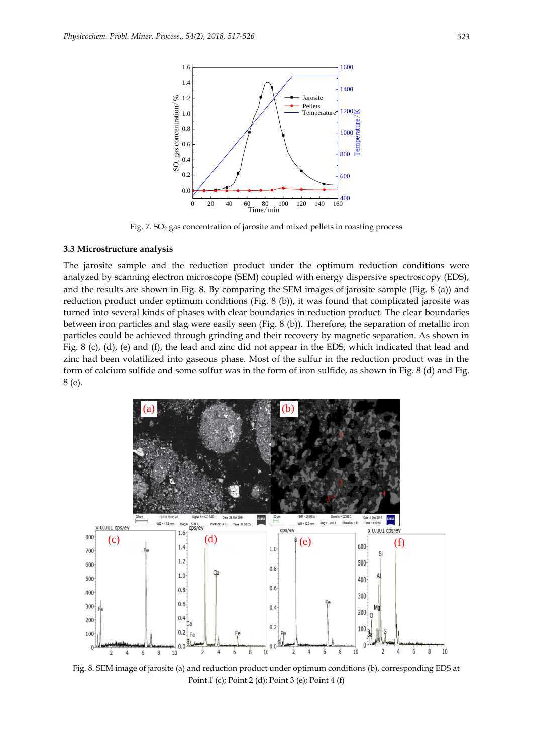

Fig. 7. SO<sub>2</sub> gas concentration of jarosite and mixed pellets in roasting process

## **3.3 Microstructure analysis**

The jarosite sample and the reduction product under the optimum reduction conditions were analyzed by scanning electron microscope (SEM) coupled with energy dispersive spectroscopy (EDS), and the results are shown in Fig. 8. By comparing the SEM images of jarosite sample (Fig. 8 (a)) and reduction product under optimum conditions (Fig. 8 (b)), it was found that complicated jarosite was turned into several kinds of phases with clear boundaries in reduction product. The clear boundaries between iron particles and slag were easily seen (Fig. 8 (b)). Therefore, the separation of metallic iron particles could be achieved through grinding and their recovery by magnetic separation. As shown in Fig. 8 (c), (d), (e) and (f), the lead and zinc did not appear in the EDS, which indicated that lead and zinc had been volatilized into gaseous phase. Most of the sulfur in the reduction product was in the form of calcium sulfide and some sulfur was in the form of iron sulfide, as shown in Fig. 8 (d) and Fig. 8 (e).



Fig. 8. SEM image of jarosite (a) and reduction product under optimum conditions (b), corresponding EDS at Point 1 (c); Point 2 (d); Point 3 (e); Point 4 (f)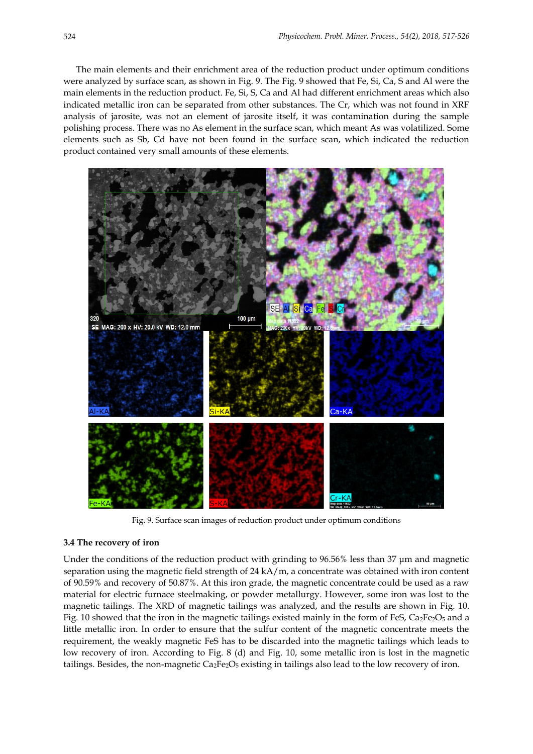The main elements and their enrichment area of the reduction product under optimum conditions were analyzed by surface scan, as shown in Fig. 9. The Fig. 9 showed that Fe, Si, Ca, S and Al were the main elements in the reduction product. Fe, Si, S, Ca and Al had different enrichment areas which also indicated metallic iron can be separated from other substances. The Cr, which was not found in XRF analysis of jarosite, was not an element of jarosite itself, it was contamination during the sample polishing process. There was no As element in the surface scan, which meant As was volatilized. Some elements such as Sb, Cd have not been found in the surface scan, which indicated the reduction product contained very small amounts of these elements.



Fig. 9. Surface scan images of reduction product under optimum conditions

#### **3.4 The recovery of iron**

Under the conditions of the reduction product with grinding to 96.56% less than 37 μm and magnetic separation using the magnetic field strength of 24 kA/m, a concentrate was obtained with iron content of 90.59% and recovery of 50.87%. At this iron grade, the magnetic concentrate could be used as a raw material for electric furnace steelmaking, or powder metallurgy. However, some iron was lost to the magnetic tailings. The XRD of magnetic tailings was analyzed, and the results are shown in Fig. 10. Fig. 10 showed that the iron in the magnetic tailings existed mainly in the form of FeS,  $Ca<sub>2</sub>Fe<sub>2</sub>O<sub>5</sub>$  and a little metallic iron. In order to ensure that the sulfur content of the magnetic concentrate meets the requirement, the weakly magnetic FeS has to be discarded into the magnetic tailings which leads to low recovery of iron. According to Fig. 8 (d) and Fig. 10, some metallic iron is lost in the magnetic tailings. Besides, the non-magnetic  $Ca_2Fe_2O_5$  existing in tailings also lead to the low recovery of iron.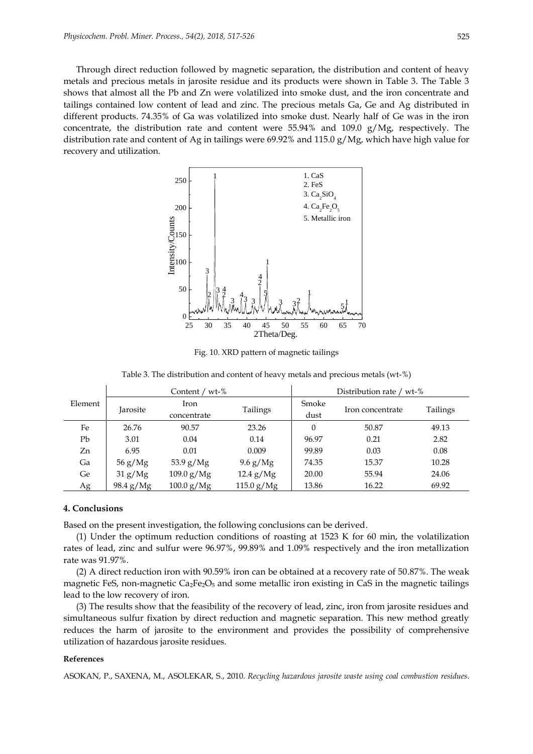Through direct reduction followed by magnetic separation, the distribution and content of heavy metals and precious metals in jarosite residue and its products were shown in Table 3. The Table 3 shows that almost all the Pb and Zn were volatilized into smoke dust, and the iron concentrate and tailings contained low content of lead and zinc. The precious metals Ga, Ge and Ag distributed in different products. 74.35% of Ga was volatilized into smoke dust. Nearly half of Ge was in the iron concentrate, the distribution rate and content were  $55.94\%$  and  $109.0$  g/Mg, respectively. The distribution rate and content of Ag in tailings were 69.92% and 115.0 g/Mg, which have high value for recovery and utilization.



Fig. 10. XRD pattern of magnetic tailings

Table 3. The distribution and content of heavy metals and precious metals (wt-%)

|         | Content / $wt-\%$        |              |              | Distribution rate / wt-% |                  |          |  |
|---------|--------------------------|--------------|--------------|--------------------------|------------------|----------|--|
| Element | Jarosite                 | Iron         | Tailings     | Smoke                    | Iron concentrate | Tailings |  |
|         |                          | concentrate  |              | dust                     |                  |          |  |
| Fe      | 26.76                    | 90.57        | 23.26        | $\theta$                 | 50.87            | 49.13    |  |
| Pb      | 3.01                     | 0.04         | 0.14         | 96.97                    | 0.21             | 2.82     |  |
| Zn      | 6.95                     | 0.01         | 0.009        | 99.89                    | 0.03             | 0.08     |  |
| Ga      | $56 \text{ g}/\text{Mg}$ | $53.9$ g/Mg  | $9.6$ g/Mg   | 74.35                    | 15.37            | 10.28    |  |
| Ge      | 31 g/Mg                  | $109.0$ g/Mg | $12.4$ g/Mg  | 20.00                    | 55.94            | 24.06    |  |
| Ag      | 98.4 g/Mg                | $100.0$ g/Mg | 115.0 $g/Mg$ | 13.86                    | 16.22            | 69.92    |  |

## **4. Conclusions**

Based on the present investigation, the following conclusions can be derived.

(1) Under the optimum reduction conditions of roasting at 1523 K for 60 min, the volatilization rates of lead, zinc and sulfur were 96.97%, 99.89% and 1.09% respectively and the iron metallization rate was 91.97%.

(2) A direct reduction iron with 90.59% iron can be obtained at a recovery rate of 50.87%. The weak magnetic FeS, non-magnetic  $Ca_2Fe_2O_5$  and some metallic iron existing in CaS in the magnetic tailings lead to the low recovery of iron.

(3) The results show that the feasibility of the recovery of lead, zinc, iron from jarosite residues and simultaneous sulfur fixation by direct reduction and magnetic separation. This new method greatly reduces the harm of jarosite to the environment and provides the possibility of comprehensive utilization of hazardous jarosite residues.

#### **References**

ASOKAN, P., SAXENA, M., ASOLEKAR, S., 2010. *Recycling hazardous jarosite waste using coal combustion residues*.